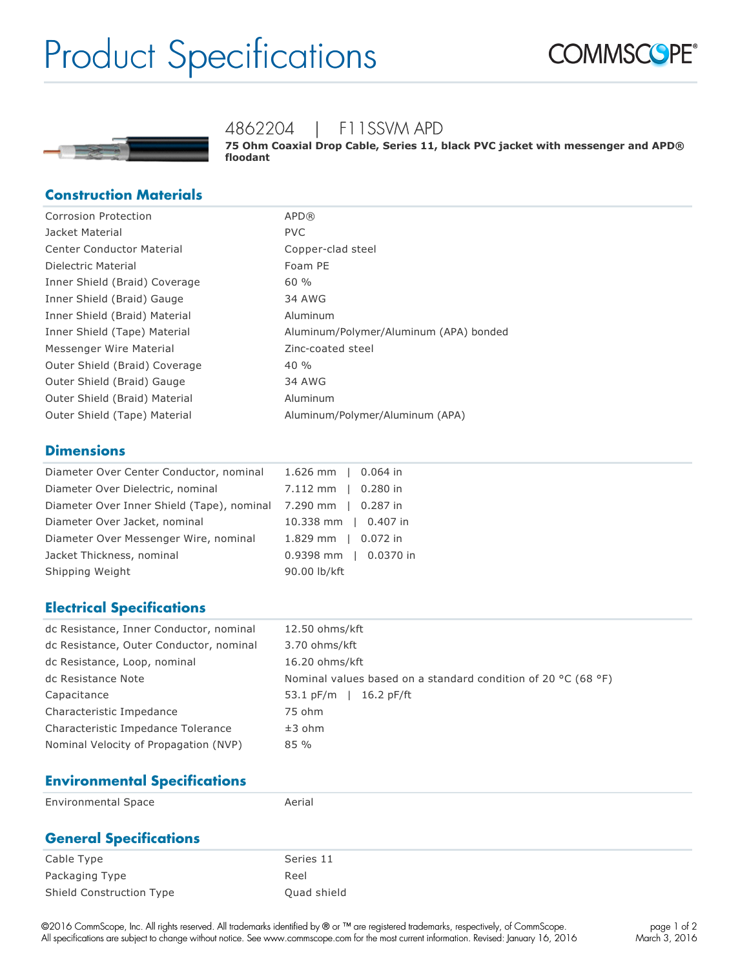# Product Specifications





## 4862204 | F11SSVM APD

**75 Ohm Coaxial Drop Cable, Series 11, black PVC jacket with messenger and APD® floodant**

#### **Construction Materials**

| Corrosion Protection             | APD(R)                                 |
|----------------------------------|----------------------------------------|
| Jacket Material                  | <b>PVC</b>                             |
| <b>Center Conductor Material</b> | Copper-clad steel                      |
| Dielectric Material              | Foam PE                                |
| Inner Shield (Braid) Coverage    | 60%                                    |
| Inner Shield (Braid) Gauge       | <b>34 AWG</b>                          |
| Inner Shield (Braid) Material    | Aluminum                               |
| Inner Shield (Tape) Material     | Aluminum/Polymer/Aluminum (APA) bonded |
| Messenger Wire Material          | Zinc-coated steel                      |
| Outer Shield (Braid) Coverage    | 40%                                    |
| Outer Shield (Braid) Gauge       | 34 AWG                                 |
| Outer Shield (Braid) Material    | Aluminum                               |
| Outer Shield (Tape) Material     | Aluminum/Polymer/Aluminum (APA)        |

#### **Dimensions**

| Diameter Over Center Conductor, nominal 1.626 mm   0.064 in |                       |
|-------------------------------------------------------------|-----------------------|
| Diameter Over Dielectric, nominal                           | 7.112 mm   0.280 in   |
| Diameter Over Inner Shield (Tape), nominal                  | 7.290 mm   0.287 in   |
| Diameter Over Jacket, nominal                               | 10.338 mm   0.407 in  |
| Diameter Over Messenger Wire, nominal                       | 1.829 mm   0.072 in   |
| Jacket Thickness, nominal                                   | 0.9398 mm   0.0370 in |
| Shipping Weight                                             | 90.00 lb/kft          |
|                                                             |                       |

#### **Electrical Specifications**

| dc Resistance, Inner Conductor, nominal | 12.50 ohms/kft                                                                    |
|-----------------------------------------|-----------------------------------------------------------------------------------|
| dc Resistance, Outer Conductor, nominal | 3.70 ohms/kft                                                                     |
| dc Resistance, Loop, nominal            | 16.20 ohms/kft                                                                    |
| dc Resistance Note                      | Nominal values based on a standard condition of 20 $^{\circ}$ C (68 $^{\circ}$ F) |
| Capacitance                             | 53.1 $pF/m$<br>$16.2$ pF/ft                                                       |
| Characteristic Impedance                | 75 ohm                                                                            |
| Characteristic Impedance Tolerance      | $±3$ ohm                                                                          |
| Nominal Velocity of Propagation (NVP)   | 85%                                                                               |

#### **Environmental Specifications**

| <b>Environmental Space</b>    | Aerial      |
|-------------------------------|-------------|
| <b>General Specifications</b> |             |
| Cable Type                    | Series 11   |
| Packaging Type                | Reel        |
| Shield Construction Type      | Quad shield |

©2016 CommScope, Inc. All rights reserved. All trademarks identified by ® or ™ are registered trademarks, respectively, of CommScope. All specifications are subject to change without notice. See www.commscope.com for the most current information. Revised: January 16, 2016